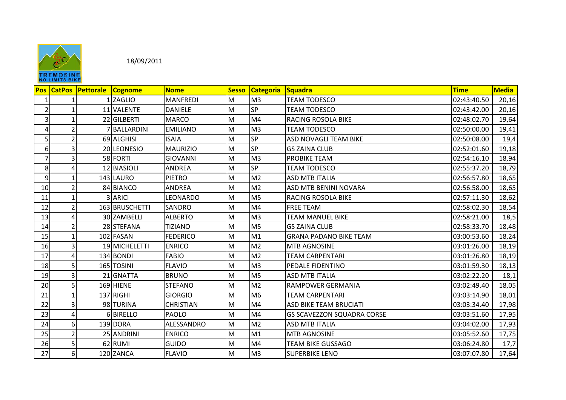

|                | NO LIMITS BINE    |           |                |                  |              |                  |                                   |             |              |  |  |
|----------------|-------------------|-----------|----------------|------------------|--------------|------------------|-----------------------------------|-------------|--------------|--|--|
|                | <b>Pos CatPos</b> | Pettorale | <b>Cognome</b> | <b>Nome</b>      | <b>Sesso</b> | <b>Categoria</b> | Squadra                           | <b>Time</b> | <b>Media</b> |  |  |
| 1              |                   |           | 1 ZAGLIO       | <b>MANFREDI</b>  | M            | M <sub>3</sub>   | <b>TEAM TODESCO</b>               | 02:43:40.50 | 20,16        |  |  |
| $\overline{2}$ |                   |           | 11 VALENTE     | <b>DANIELE</b>   | M            | <b>SP</b>        | <b>TEAM TODESCO</b>               | 02:43:42.00 | 20,16        |  |  |
| 3              |                   |           | 22 GILBERTI    | <b>MARCO</b>     | M            | M <sub>4</sub>   | RACING ROSOLA BIKE                | 02:48:02.70 | 19,64        |  |  |
| 4              | $\mathcal{P}$     |           | BALLARDINI     | <b>EMILIANO</b>  | M            | M <sub>3</sub>   | <b>TEAM TODESCO</b>               | 02:50:00.00 | 19,41        |  |  |
| 5              |                   |           | 69 ALGHISI     | <b>ISAIA</b>     | Μ            | <b>SP</b>        | ASD NOVAGLI TEAM BIKE             | 02:50:08.00 | 19,4         |  |  |
| 6              | 3                 |           | 20 LEONESIO    | MAURIZIO         | M            | <b>SP</b>        | <b>GS ZAINA CLUB</b>              | 02:52:01.60 | 19,18        |  |  |
| $\overline{7}$ |                   |           | 58 FORTI       | <b>GIOVANNI</b>  | M            | M <sub>3</sub>   | PROBIKE TEAM                      | 02:54:16.10 | 18,94        |  |  |
| 8              |                   |           | 12 BIASIOLI    | <b>ANDREA</b>    | M            | <b>SP</b>        | <b>TEAM TODESCO</b>               | 02:55:37.20 | 18,79        |  |  |
| 9              |                   |           | 143 LAURO      | <b>PIETRO</b>    | M            | M <sub>2</sub>   | <b>ASD MTB ITALIA</b>             | 02:56:57.80 | 18,65        |  |  |
| 10             |                   |           | 84 BIANCO      | <b>ANDREA</b>    | M            | M <sub>2</sub>   | ASD MTB BENINI NOVARA             | 02:56:58.00 | 18,65        |  |  |
| 11             |                   |           | 3 ARICI        | LEONARDO         | M            | M <sub>5</sub>   | RACING ROSOLA BIKE                | 02:57:11.30 | 18,62        |  |  |
| 12             |                   |           | 163 BRUSCHETTI | <b>SANDRO</b>    | M            | M <sub>4</sub>   | <b>FREE TEAM</b>                  | 02:58:02.30 | 18,54        |  |  |
| 13             |                   |           | 30 ZAMBELLI    | <b>ALBERTO</b>   | M            | M <sub>3</sub>   | <b>TEAM MANUEL BIKE</b>           | 02:58:21.00 | 18,5         |  |  |
| 14             |                   |           | 28 STEFANA     | <b>TIZIANO</b>   | M            | M <sub>5</sub>   | <b>GS ZAINA CLUB</b>              | 02:58:33.70 | 18,48        |  |  |
| 15             |                   |           | 102 FASAN      | <b>FEDERICO</b>  | M            | M1               | <b>GRANA PADANO BIKE TEAM</b>     | 03:00:53.60 | 18,24        |  |  |
| 16             |                   |           | 19 MICHELETTI  | <b>ENRICO</b>    | M            | M <sub>2</sub>   | <b>MTB AGNOSINE</b>               | 03:01:26.00 | 18,19        |  |  |
| 17             |                   |           | 134 BONDI      | <b>FABIO</b>     | M            | M <sub>2</sub>   | <b>TEAM CARPENTARI</b>            | 03:01:26.80 | 18,19        |  |  |
| 18             | 5                 |           | 165 TOSINI     | <b>FLAVIO</b>    | Μ            | M <sub>3</sub>   | PEDALE FIDENTINO                  | 03:01:59.30 | 18,13        |  |  |
| 19             |                   |           | 21 GNATTA      | <b>BRUNO</b>     | M            | M <sub>5</sub>   | <b>ASD MTB ITALIA</b>             | 03:02:22.20 | 18,1         |  |  |
| 20             |                   |           | 169 HIENE      | <b>STEFANO</b>   | M            | M <sub>2</sub>   | <b>RAMPOWER GERMANIA</b>          | 03:02:49.40 | 18,05        |  |  |
| 21             |                   |           | 137 RIGHI      | <b>GIORGIO</b>   | M            | M <sub>6</sub>   | <b>TEAM CARPENTARI</b>            | 03:03:14.90 | 18,01        |  |  |
| 22             |                   |           | 98 TURINA      | <b>CHRISTIAN</b> | M            | M4               | <b>ASD BIKE TEAM BRUCIATI</b>     | 03:03:34.40 | 17,98        |  |  |
| 23             |                   |           | 6 BIRELLO      | PAOLO            | M            | M <sub>4</sub>   | <b>GS SCAVEZZON SQUADRA CORSE</b> | 03:03:51.60 | 17,95        |  |  |
| 24             | 6                 |           | 139 DORA       | ALESSANDRO       | M            | M <sub>2</sub>   | <b>ASD MTB ITALIA</b>             | 03:04:02.00 | 17,93        |  |  |
| 25             |                   |           | 25 ANDRINI     | <b>ENRICO</b>    | M            | M1               | <b>MTB AGNOSINE</b>               | 03:05:52.60 | 17,75        |  |  |
| 26             |                   |           | 62 RUMI        | <b>GUIDO</b>     | Μ            | M <sub>4</sub>   | <b>TEAM BIKE GUSSAGO</b>          | 03:06:24.80 | 17,7         |  |  |
| 27             | 6                 |           | 120 ZANCA      | <b>FLAVIO</b>    | Μ            | M <sub>3</sub>   | <b>SUPERBIKE LENO</b>             | 03:07:07.80 | 17,64        |  |  |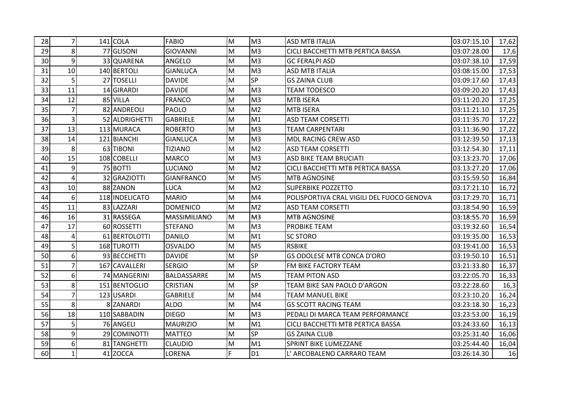| 28 | $\overline{7}$ | $141$ COLA     | <b>FABIO</b>        | M                                                                                                          | M <sub>3</sub> | <b>ASD MTB ITALIA</b>                     | 03:07:15.10 | 17,62 |
|----|----------------|----------------|---------------------|------------------------------------------------------------------------------------------------------------|----------------|-------------------------------------------|-------------|-------|
| 29 | 8              | 77 GLISONI     | <b>GIOVANNI</b>     | $\mathsf{M}% _{T}=\mathsf{M}_{T}\!\left( a,b\right) ,\ \mathsf{M}_{T}=\mathsf{M}_{T}\!\left( a,b\right) ,$ | M <sub>3</sub> | CICLI BACCHETTI MTB PERTICA BASSA         | 03:07:28.00 | 17,6  |
| 30 | $\overline{9}$ | 33 QUARENA     | ANGELO              | M                                                                                                          | M <sub>3</sub> | <b>GC FERALPI ASD</b>                     | 03:07:38.10 | 17,59 |
| 31 | 10             | 140 BERTOLI    | <b>GIANLUCA</b>     | $\mathsf{M}% _{T}=\mathsf{M}_{T}\!\left( a,b\right) ,\ \mathsf{M}_{T}=\mathsf{M}_{T}\!\left( a,b\right) ,$ | M <sub>3</sub> | <b>ASD MTB ITALIA</b>                     | 03:08:15.00 | 17,53 |
| 32 | 5              | 27 TOSELLI     | <b>DAVIDE</b>       | $\mathsf{M}% _{T}=\mathsf{M}_{T}\!\left( a,b\right) ,\ \mathsf{M}_{T}=\mathsf{M}_{T}$                      | <b>SP</b>      | <b>GS ZAINA CLUB</b>                      | 03:09:17.60 | 17,43 |
| 33 | 11             | 14 GIRARDI     | <b>DAVIDE</b>       | M                                                                                                          | M <sub>3</sub> | <b>TEAM TODESCO</b>                       | 03:09:20.20 | 17,43 |
| 34 | 12             | 85 VILLA       | <b>FRANCO</b>       | M                                                                                                          | M <sub>3</sub> | <b>MTB ISERA</b>                          | 03:11:20.20 | 17,25 |
| 35 | $\overline{7}$ | 82 ANDREOLI    | <b>PAOLO</b>        | M                                                                                                          | M <sub>2</sub> | <b>MTB ISERA</b>                          | 03:11:21.10 | 17,25 |
| 36 | $\overline{3}$ | 52 ALDRIGHETTI | <b>GABRIELE</b>     | M                                                                                                          | M1             | <b>ASD TEAM CORSETTI</b>                  | 03:11:35.70 | 17,22 |
| 37 | 13             | 113 MURACA     | <b>ROBERTO</b>      | $\mathsf{M}% _{T}=\mathsf{M}_{T}\!\left( a,b\right) ,\ \mathsf{M}_{T}=\mathsf{M}_{T}$                      | M <sub>3</sub> | <b>TEAM CARPENTARI</b>                    | 03:11:36.90 | 17,22 |
| 38 | 14             | 121 BIANCHI    | <b>GIANLUCA</b>     | M                                                                                                          | M <sub>3</sub> | <b>MDL RACING CREW ASD</b>                | 03:12:39.50 | 17,13 |
| 39 | 8              | 63 TIBONI      | <b>TIZIANO</b>      | M                                                                                                          | M <sub>2</sub> | <b>ASD TEAM CORSETTI</b>                  | 03:12:54.30 | 17,11 |
| 40 | 15             | 108 COBELLI    | <b>MARCO</b>        | M                                                                                                          | M <sub>3</sub> | <b>ASD BIKE TEAM BRUCIATI</b>             | 03:13:23.70 | 17,06 |
| 41 | 9              | 75 BOTTI       | <b>LUCIANO</b>      | M                                                                                                          | M <sub>2</sub> | CICLI BACCHETTI MTB PERTICA BASSA         | 03:13:27.20 | 17,06 |
| 42 | $\overline{4}$ | 32 GRAZIOTTI   | <b>GIANFRANCO</b>   | M                                                                                                          | M <sub>5</sub> | MTB AGNOSINE                              | 03:15:59.50 | 16,84 |
| 43 | 10             | 88 ZANON       | <b>LUCA</b>         | M                                                                                                          | M <sub>2</sub> | SUPERBIKE POZZETTO                        | 03:17:21.10 | 16,72 |
| 44 | 6              | 118 INDELICATO | <b>MARIO</b>        | M                                                                                                          | M <sub>4</sub> | POLISPORTIVA CRAL VIGILI DEL FUOCO GENOVA | 03:17:29.70 | 16,71 |
| 45 | 11             | 83 LAZZARI     | <b>DOMENICO</b>     | M                                                                                                          | M <sub>2</sub> | <b>ASD TEAM CORSETTI</b>                  | 03:18:54.90 | 16,59 |
| 46 | 16             | 31 RASSEGA     | <b>MASSIMILIANO</b> | M                                                                                                          | M <sub>3</sub> | <b>MTB AGNOSINE</b>                       | 03:18:55.70 | 16,59 |
| 47 | 17             | 60 ROSSETTI    | <b>STEFANO</b>      | M                                                                                                          | M <sub>3</sub> | PROBIKE TEAM                              | 03:19:32.60 | 16,54 |
| 48 | 4              | 61 BERTOLOTTI  | <b>DANILO</b>       | M                                                                                                          | M1             | <b>SC STORO</b>                           | 03:19:35.00 | 16,53 |
| 49 | 5 <sup>1</sup> | 168 TUROTTI    | <b>OSVALDO</b>      | M                                                                                                          | M <sub>5</sub> | <b>RSBIKE</b>                             | 03:19:41.00 | 16,53 |
| 50 | 6              | 93 BECCHETTI   | <b>DAVIDE</b>       | M                                                                                                          | SP             | GS ODOLESE MTB CONCA D'ORO                | 03:19:50.10 | 16,51 |
| 51 | $\overline{7}$ | 167 CAVALLERI  | <b>SERGIO</b>       | M                                                                                                          | SP             | FM BIKE FACTORY TEAM                      | 03:21:33.80 | 16,37 |
| 52 | 6              | 74 MANGERINI   | <b>BALDASSARRE</b>  | M                                                                                                          | M <sub>5</sub> | <b>TEAM PITON ASD</b>                     | 03:22:05.70 | 16,33 |
| 53 | 8              | 151 BENTOGLIO  | <b>CRISTIAN</b>     | M                                                                                                          | <b>SP</b>      | TEAM BIKE SAN PAOLO D'ARGON               | 03:22:28.60 | 16,3  |
| 54 | $\overline{7}$ | 123 USARDI     | <b>GABRIELE</b>     | M                                                                                                          | M <sub>4</sub> | <b>TEAM MANUEL BIKE</b>                   | 03:23:10.20 | 16,24 |
| 55 | 8              | 8 ZANARDI      | <b>ALDO</b>         | M                                                                                                          | M4             | <b>GS SCOTT RACING TEAM</b>               | 03:23:18.30 | 16,23 |
| 56 | 18             | 110 SABBADIN   | <b>DIEGO</b>        | M                                                                                                          | M <sub>3</sub> | PEDALI DI MARCA TEAM PERFORMANCE          | 03:23:53.00 | 16,19 |
| 57 | 5 <sup>1</sup> | 76 ANGELI      | <b>MAURIZIO</b>     | M                                                                                                          | M1             | CICLI BACCHETTI MTB PERTICA BASSA         | 03:24:33.60 | 16,13 |
| 58 | 9              | 29 COMINOTTI   | <b>MATTEO</b>       | M                                                                                                          | SP             | <b>GS ZAINA CLUB</b>                      | 03:25:31.40 | 16,06 |
| 59 | 6              | 81 TANGHETTI   | <b>CLAUDIO</b>      | M                                                                                                          | M1             | SPRINT BIKE LUMEZZANE                     | 03:25:44.40 | 16,04 |
| 60 | $\mathbf{1}$   | 41 ZOCCA       | LORENA              | $\overline{F}$                                                                                             | D <sub>1</sub> | L' ARCOBALENO CARRARO TEAM                | 03:26:14.30 | 16    |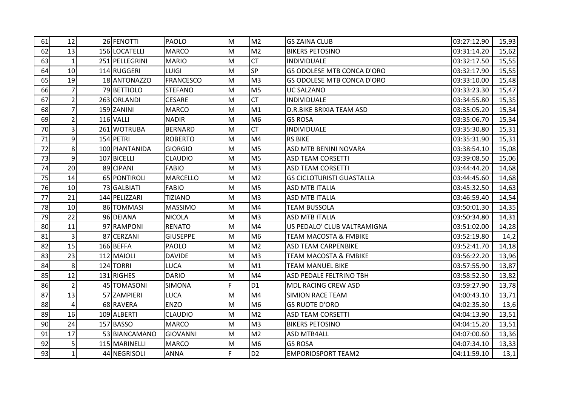| 61 | 12             | 26 FENOTTI     | <b>PAOLO</b>     | M  | M <sub>2</sub> | <b>GS ZAINA CLUB</b>              | 03:27:12.90 | 15,93 |
|----|----------------|----------------|------------------|----|----------------|-----------------------------------|-------------|-------|
| 62 | 13             | 156 LOCATELLI  | <b>MARCO</b>     | M  | M <sub>2</sub> | <b>BIKERS PETOSINO</b>            | 03:31:14.20 | 15,62 |
| 63 | $\mathbf{1}$   | 251 PELLEGRINI | <b>MARIO</b>     | M  | <b>CT</b>      | INDIVIDUALE                       | 03:32:17.50 | 15,55 |
| 64 | 10             | 114 RUGGERI    | <b>LUIGI</b>     | M  | SP             | GS ODOLESE MTB CONCA D'ORO        | 03:32:17.90 | 15,55 |
| 65 | 19             | 18 ANTONAZZO   | <b>FRANCESCO</b> | M  | M <sub>3</sub> | <b>GS ODOLESE MTB CONCA D'ORO</b> | 03:33:10.00 | 15,48 |
| 66 | $\overline{7}$ | 79 BETTIOLO    | <b>STEFANO</b>   | M  | M <sub>5</sub> | UC SALZANO                        | 03:33:23.30 | 15,47 |
| 67 | $\overline{2}$ | 263 ORLANDI    | <b>CESARE</b>    | M  | <b>CT</b>      | INDIVIDUALE                       | 03:34:55.80 | 15,35 |
| 68 | 7 <sup>1</sup> | 159 ZANINI     | <b>MARCO</b>     | M  | M1             | <b>D.R.BIKE BRIXIA TEAM ASD</b>   | 03:35:05.20 | 15,34 |
| 69 | $\overline{2}$ | 116 VALLI      | <b>NADIR</b>     | M  | M <sub>6</sub> | <b>GS ROSA</b>                    | 03:35:06.70 | 15,34 |
| 70 | $\overline{3}$ | 261 WOTRUBA    | <b>BERNARD</b>   | M  | <b>CT</b>      | <b>INDIVIDUALE</b>                | 03:35:30.80 | 15,31 |
| 71 | 9              | 154 PETRI      | <b>ROBERTO</b>   | M  | M <sub>4</sub> | <b>RS BIKE</b>                    | 03:35:31.90 | 15,31 |
| 72 | 8 <sup>1</sup> | 100 PIANTANIDA | <b>GIORGIO</b>   | M  | M <sub>5</sub> | ASD MTB BENINI NOVARA             | 03:38:54.10 | 15,08 |
| 73 | $\overline{9}$ | 107 BICELLI    | <b>CLAUDIO</b>   | M  | M <sub>5</sub> | <b>ASD TEAM CORSETTI</b>          | 03:39:08.50 | 15,06 |
| 74 | 20             | 89 CIPANI      | <b>FABIO</b>     | M  | M <sub>3</sub> | <b>ASD TEAM CORSETTI</b>          | 03:44:44.20 | 14,68 |
| 75 | 14             | 65 PONTIROLI   | <b>MARCELLO</b>  | M  | M <sub>2</sub> | <b>GS CICLOTURISTI GUASTALLA</b>  | 03:44:45.60 | 14,68 |
| 76 | 10             | 73 GALBIATI    | <b>FABIO</b>     | M  | M <sub>5</sub> | <b>ASD MTB ITALIA</b>             | 03:45:32.50 | 14,63 |
| 77 | 21             | 144 PELIZZARI  | <b>TIZIANO</b>   | M  | M <sub>3</sub> | <b>ASD MTB ITALIA</b>             | 03:46:59.40 | 14,54 |
| 78 | 10             | 86 TOMMASI     | <b>MASSIMO</b>   | M  | M <sub>4</sub> | <b>TEAM BUSSOLA</b>               | 03:50:01.30 | 14,35 |
| 79 | 22             | 96 DEIANA      | <b>NICOLA</b>    | M  | M <sub>3</sub> | <b>ASD MTB ITALIA</b>             | 03:50:34.80 | 14,31 |
| 80 | 11             | 97 RAMPONI     | <b>RENATO</b>    | M  | M <sub>4</sub> | US PEDALO' CLUB VALTRAMIGNA       | 03:51:02.00 | 14,28 |
| 81 | $\overline{3}$ | 87 CERZANI     | <b>GIUSEPPE</b>  | M  | M <sub>6</sub> | <b>TEAM MACOSTA &amp; FMBIKE</b>  | 03:52:19.80 | 14,2  |
| 82 | 15             | 166 BEFFA      | <b>PAOLO</b>     | M  | M <sub>2</sub> | <b>ASD TEAM CARPENBIKE</b>        | 03:52:41.70 | 14,18 |
| 83 | 23             | 112 MAIOLI     | <b>DAVIDE</b>    | M  | M <sub>3</sub> | <b>TEAM MACOSTA &amp; FMBIKE</b>  | 03:56:22.20 | 13,96 |
| 84 | 8              | 124 TORRI      | LUCA             | M  | M1             | <b>TEAM MANUEL BIKE</b>           | 03:57:55.90 | 13,87 |
| 85 | 12             | 131 RIGHES     | <b>DARIO</b>     | M  | M <sub>4</sub> | ASD PEDALE FELTRINO TBH           | 03:58:52.30 | 13,82 |
| 86 | $\overline{2}$ | 45 TOMASONI    | <b>SIMONA</b>    | F. | D <sub>1</sub> | MDL RACING CREW ASD               | 03:59:27.90 | 13,78 |
| 87 | 13             | 57 ZAMPIERI    | LUCA             | M  | M <sub>4</sub> | <b>SIMION RACE TEAM</b>           | 04:00:43.10 | 13,71 |
| 88 | $\overline{4}$ | 68 RAVERA      | <b>ENZO</b>      | M  | M <sub>6</sub> | <b>GS RUOTE D'ORO</b>             | 04:02:35.30 | 13,6  |
| 89 | 16             | 109 ALBERTI    | <b>CLAUDIO</b>   | M  | M <sub>2</sub> | <b>ASD TEAM CORSETTI</b>          | 04:04:13.90 | 13,51 |
| 90 | 24             | 157 BASSO      | <b>MARCO</b>     | M  | M <sub>3</sub> | <b>BIKERS PETOSINO</b>            | 04:04:15.20 | 13,51 |
| 91 | 17             | 53 BIANCAMANO  | <b>GIOVANNI</b>  | M  | M <sub>2</sub> | <b>ASD MTB4ALL</b>                | 04:07:00.60 | 13,36 |
| 92 | 5              | 115 MARINELLI  | <b>MARCO</b>     | M  | M <sub>6</sub> | <b>GS ROSA</b>                    | 04:07:34.10 | 13,33 |
| 93 | $\mathbf{1}$   | 44 NEGRISOLI   | <b>ANNA</b>      | F. | D <sub>2</sub> | <b>EMPORIOSPORT TEAM2</b>         | 04:11:59.10 | 13,1  |